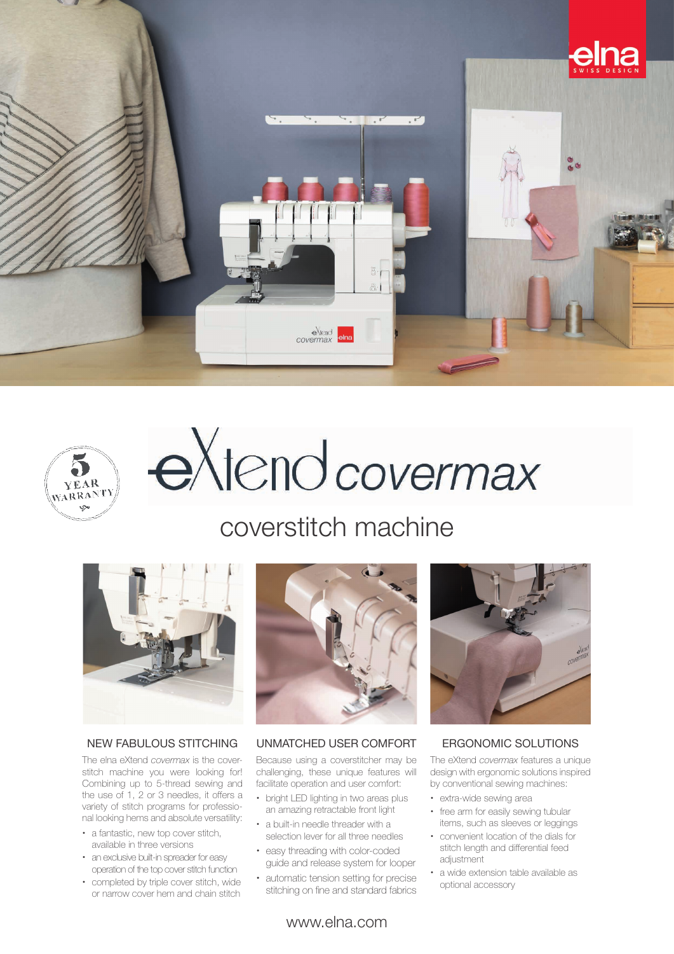



# extend covermax

### coverstitch machine



#### NEW FABULOUS STITCHING

The elna eXtend *covermax* is the coverstitch machine you were looking for! Combining up to 5-thread sewing and the use of 1, 2 or 3 needles, it offers a variety of stitch programs for professional looking hems and absolute versatility:

- a fantastic, new top cover stitch, available in three versions
- an exclusive built-in spreader for easy operation of the top cover stitch function
- completed by triple cover stitch, wide or narrow cover hem and chain stitch



#### UNMATCHED USER COMFORT

Because using a coverstitcher may be challenging, these unique features will facilitate operation and user comfort:

- bright LED lighting in two areas plus an amazing retractable front light
- x a built-in needle threader with a selection lever for all three needles
- easy threading with color-coded guide and release system for looper
- x automatic tension setting for precise stitching on fine and standard fabrics



#### ERGONOMIC SOLUTIONS

The eXtend *covermax* features a unique design with ergonomic solutions inspired by conventional sewing machines:

- extra-wide sewing area
- free arm for easily sewing tubular items, such as sleeves or leggings
- x convenient location of the dials for stitch length and differential feed adjustment
- x a wide extension table available as optional accessory

www.elna.com